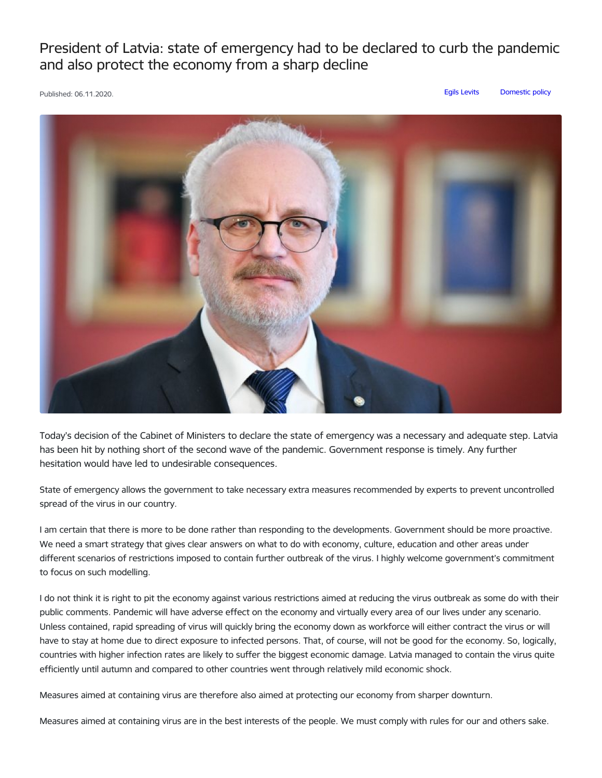President of Latvia: state of emergency had to be declared to curb the pandemic and also protect the economy from a sharp decline



Today's decision of the Cabinet of Ministers to declare the state of emergency was a necessary and adequate step. Latvia has been hit by nothing short of the second wave of the pandemic. Government response is timely. Any further hesitation would have led to undesirable consequences.

State of emergency allows the government to take necessary extra measures recommended by experts to prevent uncontrolled spread of the virus in our country.

I am certain that there is more to be done rather than responding to the developments. Government should be more proactive. We need a smart strategy that gives clear answers on what to do with economy, culture, education and other areas under different scenarios of restrictions imposed to contain further outbreak of the virus. I highly welcome government's commitment to focus on such modelling.

I do not think it is right to pit the economy against various restrictions aimed at reducing the virus outbreak as some do with their public comments. Pandemic will have adverse effect on the economy and virtually every area of our lives under any scenario. Unless contained, rapid spreading of virus will quickly bring the economy down as workforce will either contract the virus or will have to stay at home due to direct exposure to infected persons. That, of course, will not be good for the economy. So, logically, countries with higher infection rates are likely to suffer the biggest economic damage. Latvia managed to contain the virus quite efficiently until autumn and compared to other countries went through relatively mild economic shock.

Measures aimed at containing virus are therefore also aimed at protecting our economy from sharper downturn.

Measures aimed at containing virus are in the best interests of the people. We must comply with rules for our and others sake.